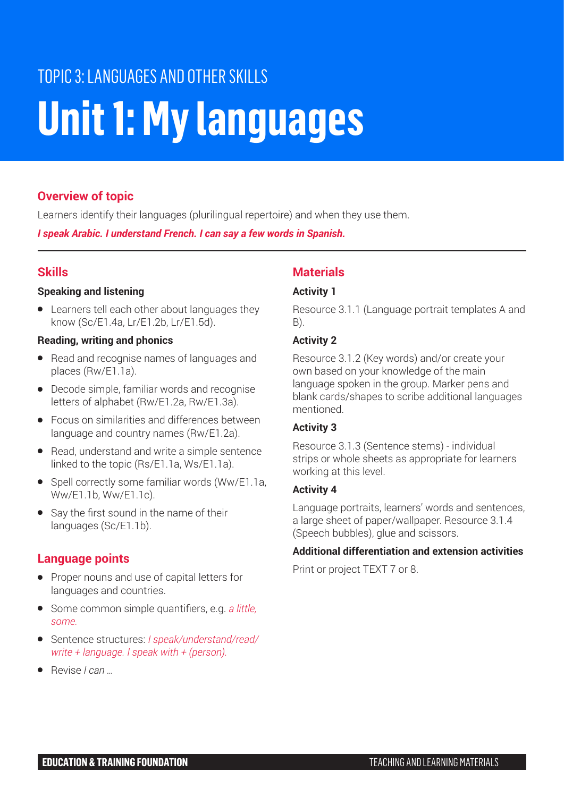# TOPIC 3: LANGUAGES AND OTHER SKILLS **Unit 1: My languages**

# **Overview of topic**

Learners identify their languages (plurilingual repertoire) and when they use them.

*I speak Arabic. I understand French. I can say a few words in Spanish.*

# **Skills**

### **Speaking and listening**

● Learners tell each other about languages they know (Sc/E1.4a, Lr/E1.2b, Lr/E1.5d).

### **Reading, writing and phonics**

- Read and recognise names of languages and places (Rw/E1.1a).
- Decode simple, familiar words and recognise letters of alphabet (Rw/E1.2a, Rw/E1.3a).
- Focus on similarities and differences between language and country names (Rw/E1.2a).
- Read, understand and write a simple sentence linked to the topic (Rs/E1.1a, Ws/E1.1a).
- Spell correctly some familiar words (Ww/E1.1a, Ww/E1.1b, Ww/E1.1c).
- Say the first sound in the name of their languages (Sc/E1.1b).

# **Language points**

- Proper nouns and use of capital letters for languages and countries.
- Some common simple quantifiers, e.g. *a little, some.*
- Sentence structures: *I speak/understand/read/ write + language. I speak with + (person).*
- Revise *I can …*

# **Materials**

# **Activity 1**

Resource 3.1.1 (Language portrait templates A and B).

# **Activity 2**

Resource 3.1.2 (Key words) and/or create your own based on your knowledge of the main language spoken in the group. Marker pens and blank cards/shapes to scribe additional languages mentioned.

### **Activity 3**

Resource 3.1.3 (Sentence stems) - individual strips or whole sheets as appropriate for learners working at this level.

### **Activity 4**

Language portraits, learners' words and sentences, a large sheet of paper/wallpaper. Resource 3.1.4 (Speech bubbles), glue and scissors.

### **Additional differentiation and extension activities**

Print or project TEXT 7 or 8.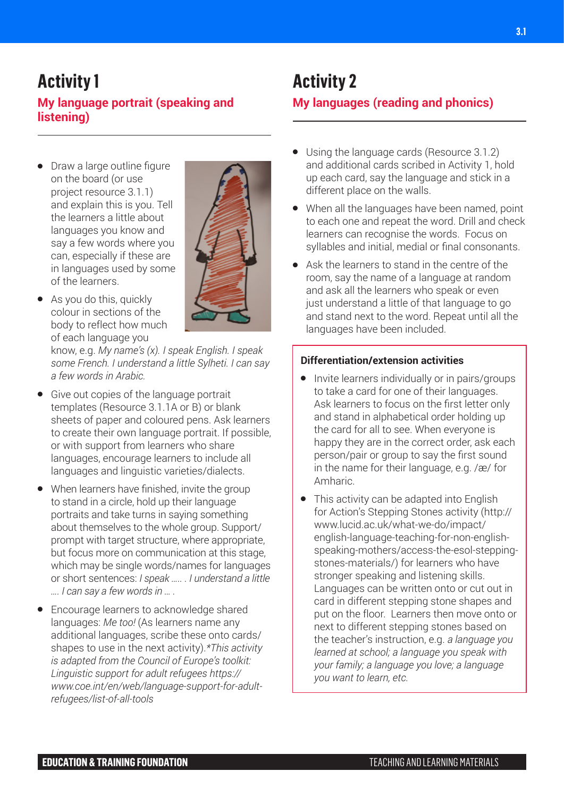# **Activity 1**

# **My language portrait (speaking and listening)**

● Draw a large outline figure on the board (or use project resource 3.1.1) and explain this is you. Tell the learners a little about languages you know and say a few words where you can, especially if these are in languages used by some of the learners.



● As you do this, quickly colour in sections of the body to reflect how much of each language you

know, e.g. *My name's (x). I speak English. I speak some French. I understand a little Sylheti. I can say a few words in Arabic.*

- Give out copies of the language portrait templates (Resource 3.1.1A or B) or blank sheets of paper and coloured pens. Ask learners to create their own language portrait. If possible, or with support from learners who share languages, encourage learners to include all languages and linguistic varieties/dialects.
- When learners have finished, invite the group to stand in a circle, hold up their language portraits and take turns in saying something about themselves to the whole group. Support/ prompt with target structure, where appropriate, but focus more on communication at this stage, which may be single words/names for languages or short sentences: *I speak ….. . I understand a little …. I can say a few words in … .*
- Encourage learners to acknowledge shared languages: *Me too!* (As learners name any additional languages, scribe these onto cards/ shapes to use in the next activity).*\*This activity is adapted from the Council of Europe's toolkit: Linguistic support for adult refugees https:// www.coe.int/en/web/language-support-for-adultrefugees/list-of-all-tools*

# **Activity 2**

# **My languages (reading and phonics)**

- Using the language cards (Resource 3.1.2) and additional cards scribed in Activity 1, hold up each card, say the language and stick in a different place on the walls.
- When all the languages have been named, point to each one and repeat the word. Drill and check learners can recognise the words. Focus on syllables and initial, medial or final consonants.
- Ask the learners to stand in the centre of the room, say the name of a language at random and ask all the learners who speak or even just understand a little of that language to go and stand next to the word. Repeat until all the languages have been included.

### **Differentiation/extension activities**

- Invite learners individually or in pairs/groups to take a card for one of their languages. Ask learners to focus on the first letter only and stand in alphabetical order holding up the card for all to see. When everyone is happy they are in the correct order, ask each person/pair or group to say the first sound in the name for their language, e.g. /æ/ for Amharic.
- This activity can be adapted into English for Action's Stepping Stones activity (http:// www.lucid.ac.uk/what-we-do/impact/ english-language-teaching-for-non-englishspeaking-mothers/access-the-esol-steppingstones-materials/) for learners who have stronger speaking and listening skills. Languages can be written onto or cut out in card in different stepping stone shapes and put on the floor. Learners then move onto or next to different stepping stones based on the teacher's instruction, e.g. *a language you learned at school; a language you speak with your family; a language you love; a language you want to learn, etc.*

**3.1**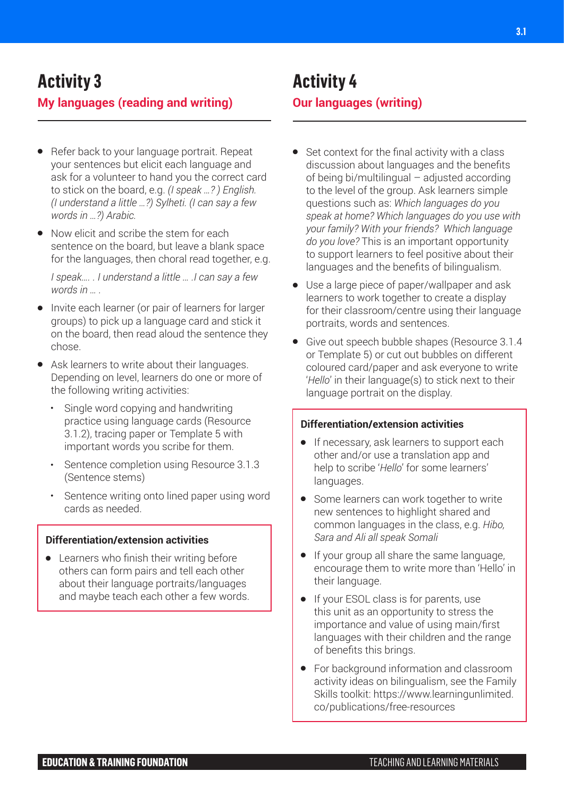## **My languages (reading and writing)**

- Refer back to your language portrait. Repeat your sentences but elicit each language and ask for a volunteer to hand you the correct card to stick on the board, e.g. *(I speak …? ) English. (I understand a little …?) Sylheti. (I can say a few words in …?) Arabic.*
- Now elicit and scribe the stem for each sentence on the board, but leave a blank space for the languages, then choral read together, e.g.

*I speak…. . I understand a little … .I can say a few words in … .*

- Invite each learner (or pair of learners for larger groups) to pick up a language card and stick it on the board, then read aloud the sentence they chose.
- Ask learners to write about their languages. Depending on level, learners do one or more of the following writing activities:
	- **•** Single word copying and handwriting practice using language cards (Resource 3.1.2), tracing paper or Template 5 with important words you scribe for them.
	- **•** Sentence completion using Resource 3.1.3 (Sentence stems)
	- **•** Sentence writing onto lined paper using word cards as needed.

#### **Differentiation/extension activities**

● Learners who finish their writing before others can form pairs and tell each other about their language portraits/languages and maybe teach each other a few words.

# **Activity 4**

# **Our languages (writing)**

- Set context for the final activity with a class discussion about languages and the benefits of being bi/multilingual – adjusted according to the level of the group. Ask learners simple questions such as: *Which languages do you speak at home? Which languages do you use with your family? With your friends? Which language do you love?* This is an important opportunity to support learners to feel positive about their languages and the benefits of bilingualism.
- Use a large piece of paper/wallpaper and ask learners to work together to create a display for their classroom/centre using their language portraits, words and sentences.
- Give out speech bubble shapes (Resource 3.1.4 or Template 5) or cut out bubbles on different coloured card/paper and ask everyone to write '*Hello*' in their language(s) to stick next to their language portrait on the display.

#### **Differentiation/extension activities**

- If necessary, ask learners to support each other and/or use a translation app and help to scribe '*Hello*' for some learners' languages.
- Some learners can work together to write new sentences to highlight shared and common languages in the class, e.g. *Hibo, Sara and Ali all speak Somali*
- If your group all share the same language, encourage them to write more than 'Hello' in their language.
- If your ESOL class is for parents, use this unit as an opportunity to stress the importance and value of using main/first languages with their children and the range of benefits this brings.
- For background information and classroom activity ideas on bilingualism, see the Family Skills toolkit: https://www.learningunlimited. co/publications/free-resources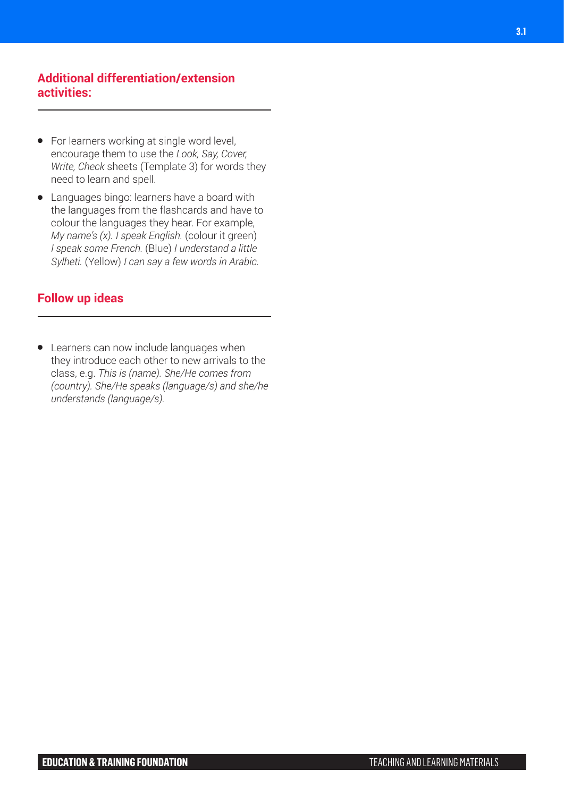#### **Additional differentiation/extension activities:**

- For learners working at single word level, encourage them to use the *Look, Say, Cover, Write, Check* sheets (Template 3) for words they need to learn and spell.
- Languages bingo: learners have a board with the languages from the flashcards and have to colour the languages they hear. For example, *My name's (x). I speak English.* (colour it green) *I speak some French.* (Blue) *I understand a little Sylheti.* (Yellow) *I can say a few words in Arabic.*

# **Follow up ideas**

● Learners can now include languages when they introduce each other to new arrivals to the class, e.g. *This is (name). She/He comes from (country). She/He speaks (language/s) and she/he understands (language/s).*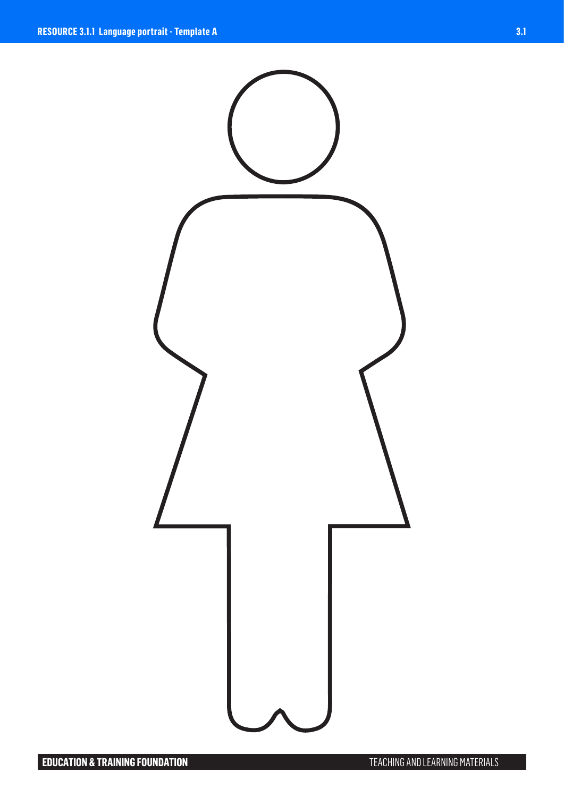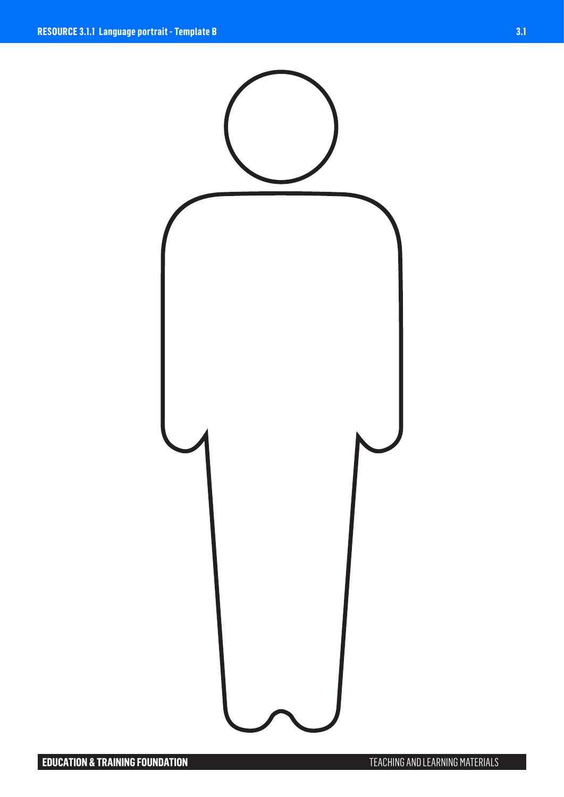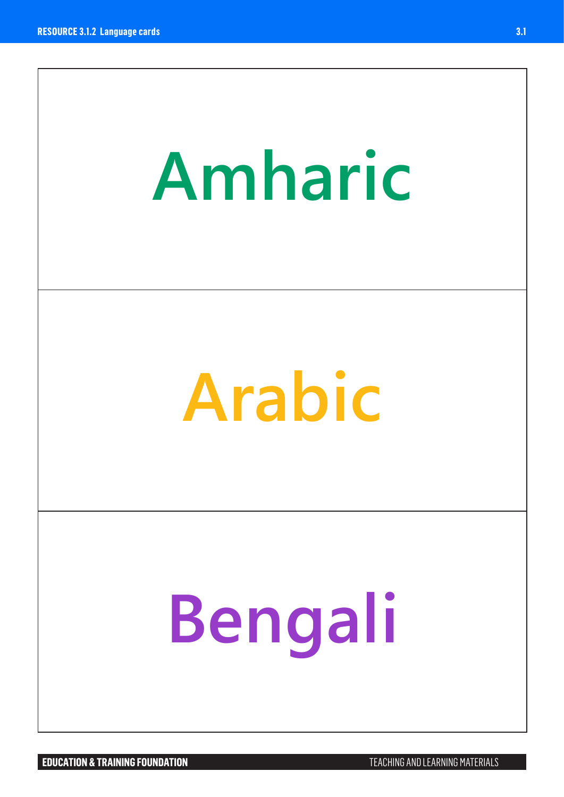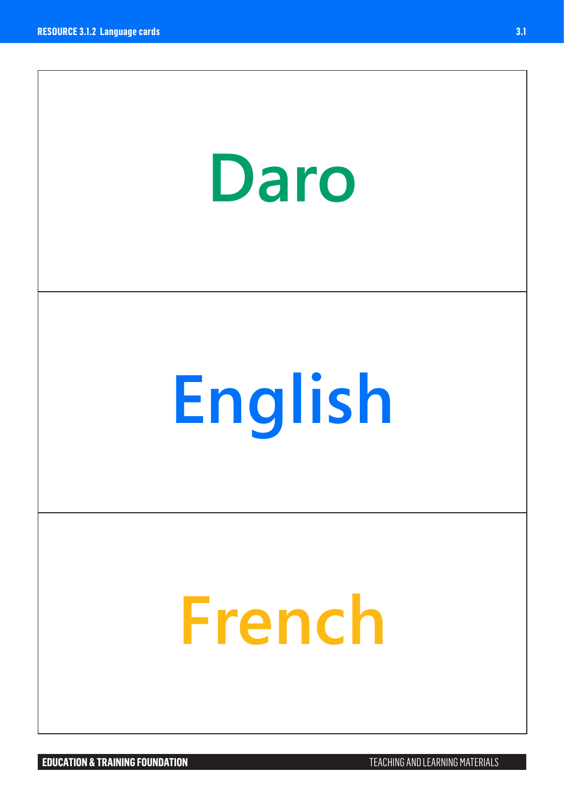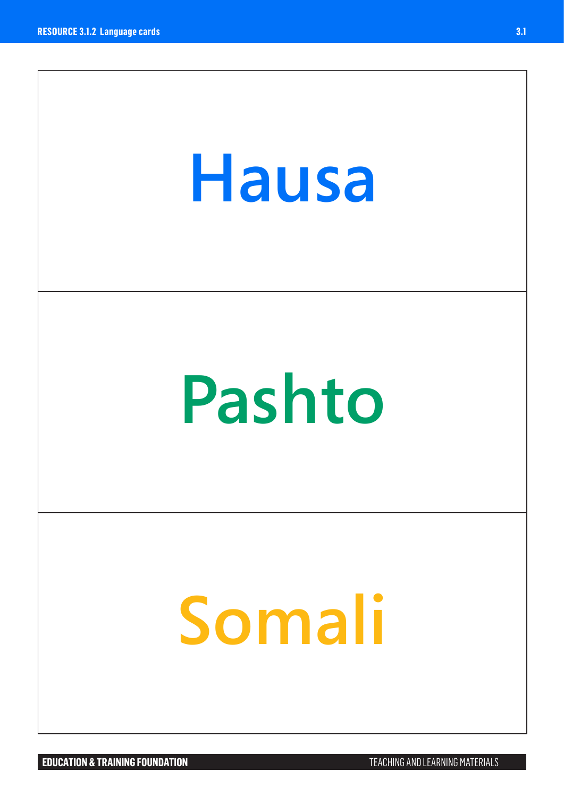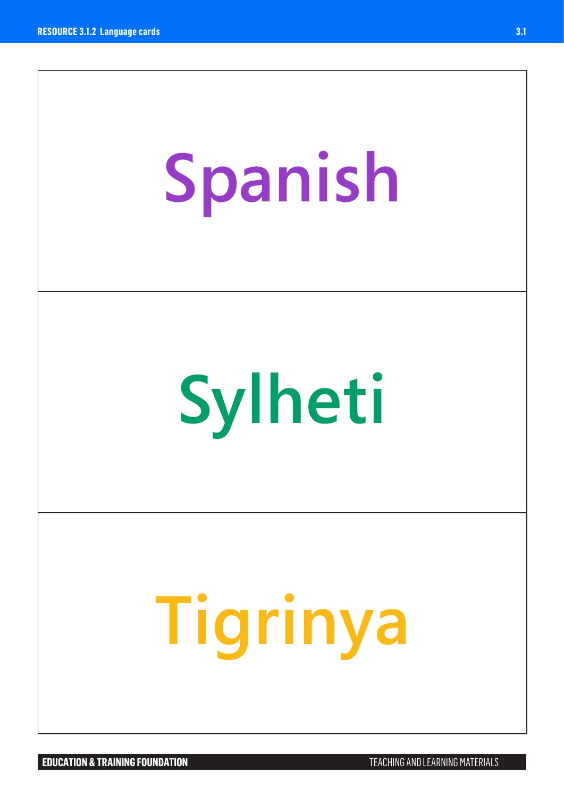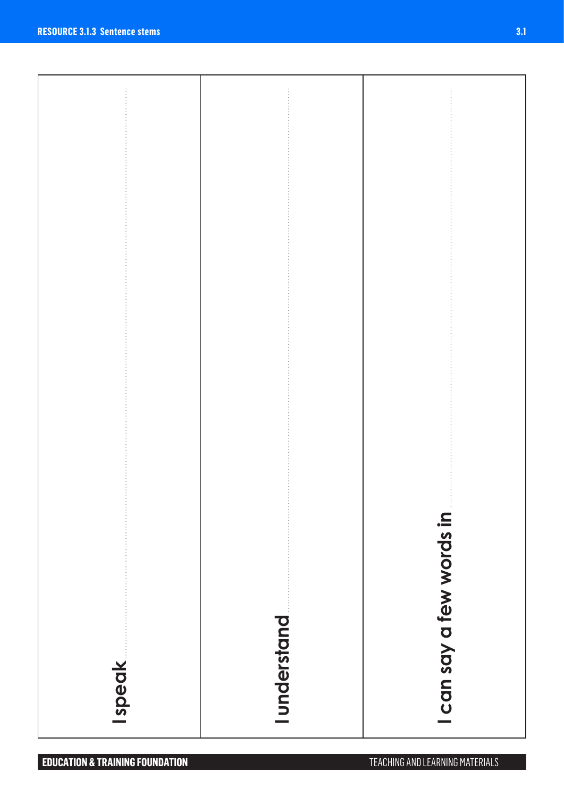